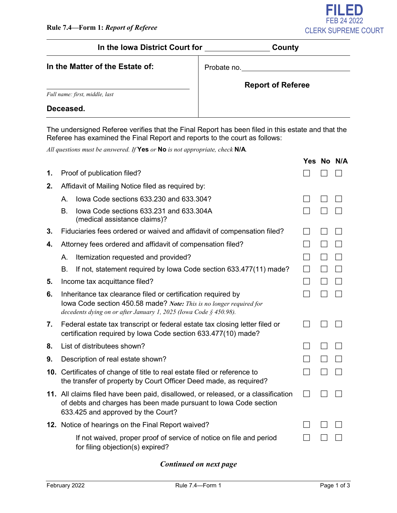

## In the Iowa District Court for **County**

| In the Matter of the Estate of: |  |  |  |  |  |  |
|---------------------------------|--|--|--|--|--|--|
|---------------------------------|--|--|--|--|--|--|

Probate no.

| <b>Report of Referee</b> |  |  |  |
|--------------------------|--|--|--|
|--------------------------|--|--|--|

*Full name: first, middle, last*

#### **Deceased.**

The undersigned Referee verifies that the Final Report has been filed in this estate and that the Referee has examined the Final Report and reports to the court as follows:

*All questions must be answered. If* **Yes** *or* **No** *is not appropriate, check* **N/A***.*

|    |                                                   |                                                                                                                                                                                                          |  | Yes No N/A |
|----|---------------------------------------------------|----------------------------------------------------------------------------------------------------------------------------------------------------------------------------------------------------------|--|------------|
| 1. |                                                   | Proof of publication filed?                                                                                                                                                                              |  |            |
| 2. | Affidavit of Mailing Notice filed as required by: |                                                                                                                                                                                                          |  |            |
|    | Α.                                                | lowa Code sections 633.230 and 633.304?                                                                                                                                                                  |  |            |
|    | B.                                                | lowa Code sections 633.231 and 633.304A<br>(medical assistance claims)?                                                                                                                                  |  |            |
| 3. |                                                   | Fiduciaries fees ordered or waived and affidavit of compensation filed?                                                                                                                                  |  |            |
| 4. |                                                   | Attorney fees ordered and affidavit of compensation filed?                                                                                                                                               |  |            |
|    | А.                                                | Itemization requested and provided?                                                                                                                                                                      |  |            |
|    | <b>B.</b>                                         | If not, statement required by Iowa Code section 633.477(11) made?                                                                                                                                        |  |            |
| 5. |                                                   | Income tax acquittance filed?                                                                                                                                                                            |  |            |
| 6. |                                                   | Inheritance tax clearance filed or certification required by<br>lowa Code section 450.58 made? Note: This is no longer required for<br>decedents dying on or after January 1, 2025 (Iowa Code § 450.98). |  |            |
| 7. |                                                   | Federal estate tax transcript or federal estate tax closing letter filed or<br>certification required by Iowa Code section 633.477(10) made?                                                             |  |            |
| 8. |                                                   | List of distributees shown?                                                                                                                                                                              |  |            |
| 9. | Description of real estate shown?                 |                                                                                                                                                                                                          |  |            |
|    |                                                   | 10. Certificates of change of title to real estate filed or reference to<br>the transfer of property by Court Officer Deed made, as required?                                                            |  |            |
|    |                                                   | 11. All claims filed have been paid, disallowed, or released, or a classification<br>of debts and charges has been made pursuant to lowa Code section<br>633.425 and approved by the Court?              |  |            |
|    |                                                   | 12. Notice of hearings on the Final Report waived?                                                                                                                                                       |  |            |
|    |                                                   | If not waived, proper proof of service of notice on file and period<br>for filing objection(s) expired?                                                                                                  |  |            |

#### *Continued on next page*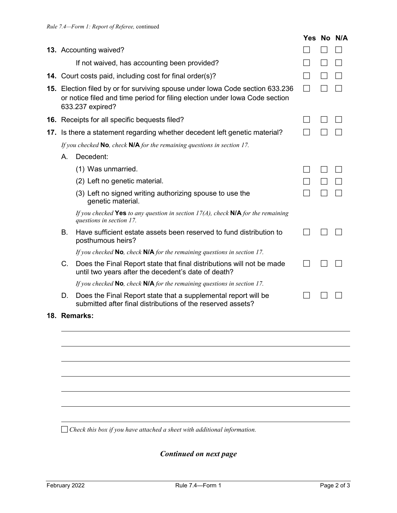|    |                                                                                                                                                                                  | Yes No N/A |  |
|----|----------------------------------------------------------------------------------------------------------------------------------------------------------------------------------|------------|--|
|    | 13. Accounting waived?                                                                                                                                                           |            |  |
|    | If not waived, has accounting been provided?                                                                                                                                     |            |  |
|    | 14. Court costs paid, including cost for final order(s)?                                                                                                                         |            |  |
|    | 15. Election filed by or for surviving spouse under lowa Code section 633.236<br>or notice filed and time period for filing election under Iowa Code section<br>633.237 expired? |            |  |
|    | 16. Receipts for all specific bequests filed?                                                                                                                                    |            |  |
|    | 17. Is there a statement regarding whether decedent left genetic material?                                                                                                       |            |  |
|    | If you checked $\mathsf{No}$ , check $\mathsf{N/A}$ for the remaining questions in section 17.                                                                                   |            |  |
| A. | Decedent:                                                                                                                                                                        |            |  |
|    | (1) Was unmarried.                                                                                                                                                               |            |  |
|    | (2) Left no genetic material.                                                                                                                                                    |            |  |
|    | (3) Left no signed writing authorizing spouse to use the<br>genetic material.                                                                                                    |            |  |
|    | If you checked Yes to any question in section $17(A)$ , check NIA for the remaining<br>questions in section 17.                                                                  |            |  |
| В. | Have sufficient estate assets been reserved to fund distribution to<br>posthumous heirs?                                                                                         |            |  |
|    | If you checked $\mathsf{No}$ , check $\mathsf{N/A}$ for the remaining questions in section 17.                                                                                   |            |  |
| C. | Does the Final Report state that final distributions will not be made<br>until two years after the decedent's date of death?                                                     |            |  |
|    | If you checked $\mathsf{No}$ , check $\mathsf{N/A}$ for the remaining questions in section 17.                                                                                   |            |  |
| D. | Does the Final Report state that a supplemental report will be<br>submitted after final distributions of the reserved assets?                                                    |            |  |
|    | 18. Remarks:                                                                                                                                                                     |            |  |
|    |                                                                                                                                                                                  |            |  |
|    |                                                                                                                                                                                  |            |  |
|    |                                                                                                                                                                                  |            |  |
|    |                                                                                                                                                                                  |            |  |

*Check this box if you have attached a sheet with additional information.*

*Continued on next page*